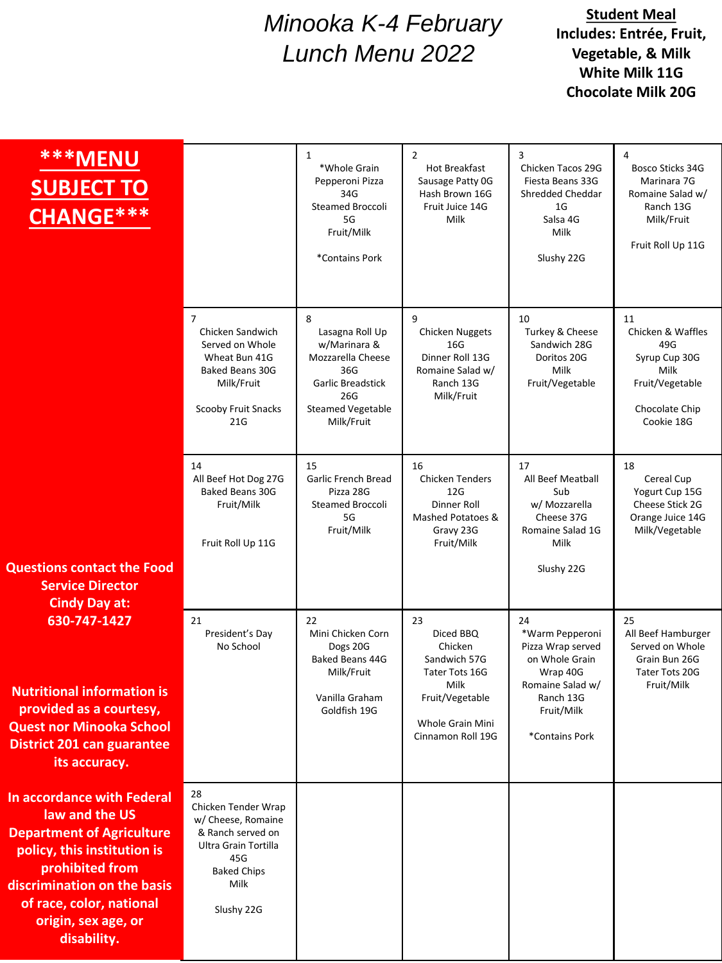## *Minooka K-4 February Lunch Menu 2022*

## **Student Meal Includes: Entrée, Fruit, Vegetable, & Milk White Milk 11G Chocolate Milk 20G**

| ***MENU<br><b>SUBJECT TO</b><br>CHANGE***                                                                                                                                                                                                  |                                                                                                                                                 | 1<br>*Whole Grain<br>Pepperoni Pizza<br>34G<br>Steamed Broccoli<br>5G<br>Fruit/Milk<br>*Contains Pork                                  | 2<br>Hot Breakfast<br>Sausage Patty OG<br>Hash Brown 16G<br>Fruit Juice 14G<br>Milk                                              | 3<br>Chicken Tacos 29G<br>Fiesta Beans 33G<br><b>Shredded Cheddar</b><br>1G<br>Salsa 4G<br>Milk<br>Slushy 22G                             | 4<br>Bosco Sticks 34G<br>Marinara 7G<br>Romaine Salad w/<br>Ranch 13G<br>Milk/Fruit<br>Fruit Roll Up 11G   |
|--------------------------------------------------------------------------------------------------------------------------------------------------------------------------------------------------------------------------------------------|-------------------------------------------------------------------------------------------------------------------------------------------------|----------------------------------------------------------------------------------------------------------------------------------------|----------------------------------------------------------------------------------------------------------------------------------|-------------------------------------------------------------------------------------------------------------------------------------------|------------------------------------------------------------------------------------------------------------|
|                                                                                                                                                                                                                                            | $\overline{7}$<br>Chicken Sandwich<br>Served on Whole<br>Wheat Bun 41G<br><b>Baked Beans 30G</b><br>Milk/Fruit<br>Scooby Fruit Snacks<br>21G    | 8<br>Lasagna Roll Up<br>w/Marinara &<br>Mozzarella Cheese<br>36G<br>Garlic Breadstick<br>26G<br><b>Steamed Vegetable</b><br>Milk/Fruit | $\mathbf{q}$<br><b>Chicken Nuggets</b><br>16G<br>Dinner Roll 13G<br>Romaine Salad w/<br>Ranch 13G<br>Milk/Fruit                  | 10<br>Turkey & Cheese<br>Sandwich 28G<br>Doritos 20G<br>Milk<br>Fruit/Vegetable                                                           | 11<br>Chicken & Waffles<br>49G<br>Syrup Cup 30G<br>Milk<br>Fruit/Vegetable<br>Chocolate Chip<br>Cookie 18G |
| <b>Questions contact the Food</b>                                                                                                                                                                                                          | 14<br>All Beef Hot Dog 27G<br><b>Baked Beans 30G</b><br>Fruit/Milk<br>Fruit Roll Up 11G                                                         | 15<br><b>Garlic French Bread</b><br>Pizza 28G<br><b>Steamed Broccoli</b><br>5G<br>Fruit/Milk                                           | 16<br><b>Chicken Tenders</b><br>12G<br>Dinner Roll<br>Mashed Potatoes &<br>Gravy 23G<br>Fruit/Milk                               | 17<br>All Beef Meatball<br>Sub<br>w/ Mozzarella<br>Cheese 37G<br>Romaine Salad 1G<br>Milk<br>Slushy 22G                                   | 18<br>Cereal Cup<br>Yogurt Cup 15G<br>Cheese Stick 2G<br>Orange Juice 14G<br>Milk/Vegetable                |
| <b>Service Director</b><br><b>Cindy Day at:</b>                                                                                                                                                                                            |                                                                                                                                                 |                                                                                                                                        |                                                                                                                                  |                                                                                                                                           |                                                                                                            |
| 630-747-1427<br><b>Nutritional information is</b><br>provided as a courtesy,<br><b>Quest nor Minooka School</b><br><b>District 201 can guarantee</b><br>its accuracy.                                                                      | 21<br>President's Day<br>No School                                                                                                              | 22<br>Mini Chicken Corn<br>Dogs 20G<br>Baked Beans 44G<br>Milk/Fruit<br>Vanilla Graham<br>Goldfish 19G                                 | 23<br>Diced BBQ<br>Chicken<br>Sandwich 57G<br>Tater Tots 16G<br>Milk<br>Fruit/Vegetable<br>Whole Grain Mini<br>Cinnamon Roll 19G | 24<br>*Warm Pepperoni<br>Pizza Wrap served<br>on Whole Grain<br>Wrap 40G<br>Romaine Salad w/<br>Ranch 13G<br>Fruit/Milk<br>*Contains Pork | 25<br>All Beef Hamburger<br>Served on Whole<br>Grain Bun 26G<br>Tater Tots 20G<br>Fruit/Milk               |
| <b>In accordance with Federal</b><br>law and the US<br><b>Department of Agriculture</b><br>policy, this institution is<br>prohibited from<br>discrimination on the basis<br>of race, color, national<br>origin, sex age, or<br>disability. | 28<br>Chicken Tender Wrap<br>w/ Cheese, Romaine<br>& Ranch served on<br>Ultra Grain Tortilla<br>45G<br><b>Baked Chips</b><br>Milk<br>Slushy 22G |                                                                                                                                        |                                                                                                                                  |                                                                                                                                           |                                                                                                            |